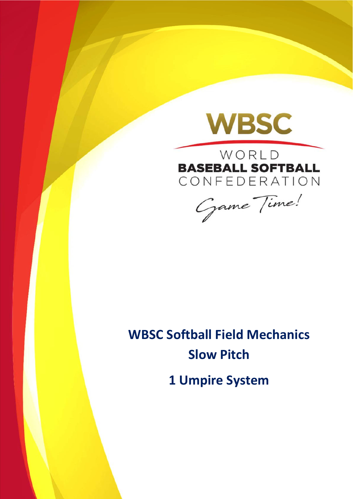

WORLD **BASEBALL SOFTBALL** CONFEDERATION

Game Time!

# **WBSC Softball Field Mechanics Slow Pitch 1 Umpire System**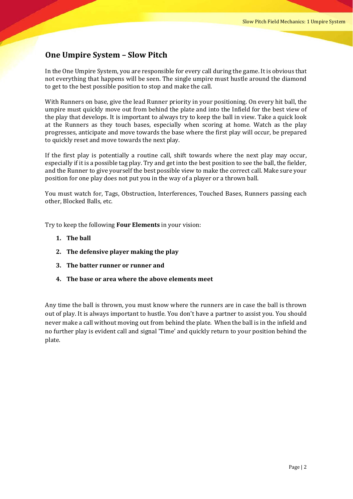### **One Umpire System – Slow Pitch**

In the One Umpire System, you are responsible for every call during the game. It is obvious that not everything that happens will be seen. The single umpire must hustle around the diamond to get to the best possible position to stop and make the call.

With Runners on base, give the lead Runner priority in your positioning. On every hit ball, the umpire must quickly move out from behind the plate and into the Infield for the best view of the play that develops. It is important to always try to keep the ball in view. Take a quick look at the Runners as they touch bases, especially when scoring at home. Watch as the play progresses, anticipate and move towards the base where the first play will occur, be prepared to quickly reset and move towards the next play.

If the first play is potentially a routine call, shift towards where the next play may occur, especially if it is a possible tag play. Try and get into the best position to see the ball, the fielder, and the Runner to give yourself the best possible view to make the correct call. Make sure your position for one play does not put you in the way of a player or a thrown ball.

You must watch for, Tags, Obstruction, Interferences, Touched Bases, Runners passing each other, Blocked Balls, etc.

Try to keep the following **Four Elements** in your vision:

- **1. The ball**
- **2. The defensive player making the play**
- **3. The batter runner or runner and**
- **4. The base or area where the above elements meet**

Any time the ball is thrown, you must know where the runners are in case the ball is thrown out of play. It is always important to hustle. You don't have a partner to assist you. You should never make a call without moving out from behind the plate. When the ball is in the infield and no further play is evident call and signal 'Time' and quickly return to your position behind the plate.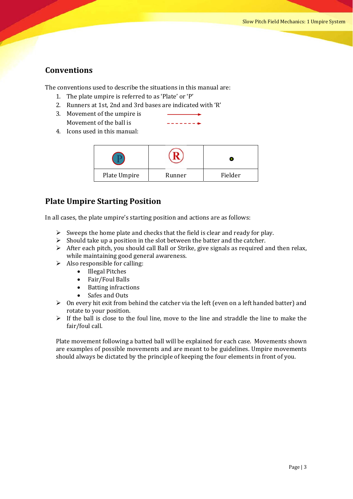### **Conventions**

The conventions used to describe the situations in this manual are:

- 1. The plate umpire is referred to as 'Plate' or 'P'
- 2. Runners at 1st, 2nd and 3rd bases are indicated with 'R'
- 3. Movement of the umpire is Movement of the ball is
- 4. Icons used in this manual:

| Plate Umpire | Runner | Fielder |
|--------------|--------|---------|

### **Plate Umpire Starting Position**

In all cases, the plate umpire's starting position and actions are as follows:

- $\triangleright$  Sweeps the home plate and checks that the field is clear and ready for play.
- $\triangleright$  Should take up a position in the slot between the batter and the catcher.
- $\triangleright$  After each pitch, you should call Ball or Strike, give signals as required and then relax, while maintaining good general awareness.
- $\triangleright$  Also responsible for calling:
	- Illegal Pitches
	-
	- Fair/Foul Balls<br>• Batting infraction • Batting infractions<br>• Safes and Outs
	- Safes and Outs
- $\triangleright$  On every hit exit from behind the catcher via the left (even on a left handed batter) and rotate to your position.
- $\triangleright$  If the ball is close to the foul line, move to the line and straddle the line to make the fair/foul call.

Plate movement following a batted ball will be explained for each case. Movements shown are examples of possible movements and are meant to be guidelines. Umpire movements should always be dictated by the principle of keeping the four elements in front of you.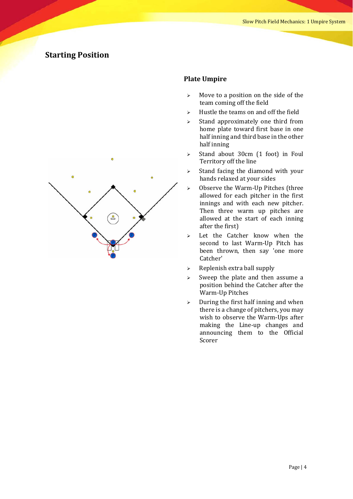

### **Plate Umpire**

- $\triangleright$  Move to a position on the side of the team coming off the field
- $\triangleright$  Hustle the teams on and off the field
- $\triangleright$  Stand approximately one third from home plate toward first base in one half inning and third base in the other half inning
- $\geq$  Stand about 30cm (1 foot) in Foul Territory off the line
- $\triangleright$  Stand facing the diamond with your hands relaxed at your sides
- $\geq$  Observe the Warm-Up Pitches (three allowed for each pitcher in the first innings and with each new pitcher. Then three warm up pitches are allowed at the start of each inning after the first)
- $\geq$  Let the Catcher know when the second to last Warm-Up Pitch has been thrown, then say 'one more Catcher'
- $\triangleright$  Replenish extra ball supply
- $\triangleright$  Sweep the plate and then assume a position behind the Catcher after the Warm-Up Pitches
- $\geq$  During the first half inning and when there is a change of pitchers, you may wish to observe the Warm-Ups after making the Line-up changes and announcing them to the Official Scorer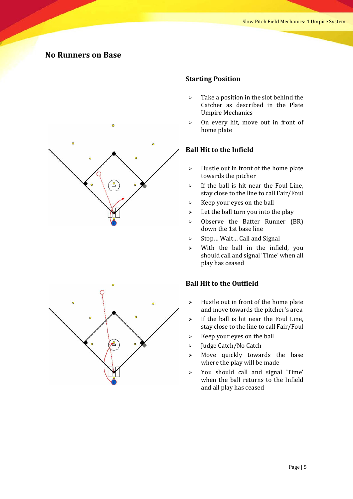### **No Runners on Base**



### **Starting Position**

- $\triangleright$  Take a position in the slot behind the Catcher as described in the Plate Umpire Mechanics
- $\geq$  0n every hit, move out in front of home plate

### **Ball Hit to the Infield**

- $\triangleright$  Hustle out in front of the home plate towards the pitcher
- $\triangleright$  If the ball is hit near the Foul Line. stay close to the line to call Fair/Foul
- $\triangleright$  Keep your eyes on the ball
- $\geq$  Let the ball turn you into the play
- $\geq$  Observe the Batter Runner (BR) down the 1st base line
- $\triangleright$  Stop... Wait... Call and Signal
- $\triangleright$  With the ball in the infield, you should call and signal 'Time' when all play has ceased

- $\triangleright$  Hustle out in front of the home plate and move towards the pitcher's area
- $\triangleright$  If the ball is hit near the Foul Line, stay close to the line to call Fair/Foul
- $\triangleright$  Keep your eyes on the ball
- > Judge Catch/No Catch
- $\geq$  Move quickly towards the base where the play will be made
- $\triangleright$  You should call and signal 'Time' when the ball returns to the Infield and all play has ceased

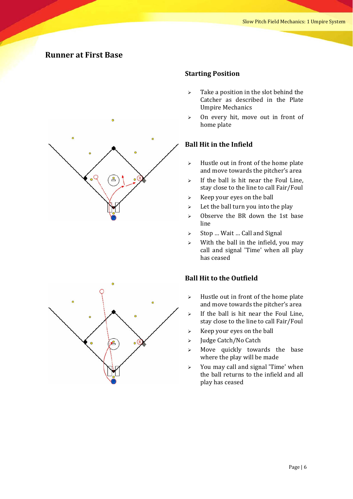### **Runner at First Base**



### **Starting Position**

- $\triangleright$  Take a position in the slot behind the Catcher as described in the Plate Umpire Mechanics
- $\geq$  0n every hit, move out in front of home plate

### **Ball Hit in the Infield**

- $\triangleright$  Hustle out in front of the home plate and move towards the pitcher's area
- $\triangleright$  If the ball is hit near the Foul Line, stay close to the line to call Fair/Foul
- $\triangleright$  Keep your eyes on the ball
- $\geq$  Let the ball turn you into the play
- $\geq$  Observe the BR down the 1st base line
- $\triangleright$  Stop ... Wait ... Call and Signal
- $\triangleright$  With the ball in the infield, you may call and signal 'Time' when all play has ceased

- $\triangleright$  Hustle out in front of the home plate and move towards the pitcher's area
- $\triangleright$  If the ball is hit near the Foul Line, stay close to the line to call Fair/Foul
- $\triangleright$  Keep your eyes on the ball
- > Judge Catch/No Catch
- $\geq$  Move quickly towards the base where the play will be made
- $\geq$  You may call and signal 'Time' when the ball returns to the infield and all play has ceased

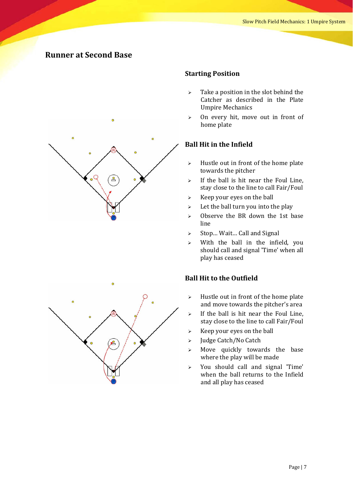### **Runner at Second Base**



### **Starting Position**

- $\triangleright$  Take a position in the slot behind the Catcher as described in the Plate Umpire Mechanics
- $\geq$  0n every hit, move out in front of home plate

### **Ball Hit in the Infield**

- $\triangleright$  Hustle out in front of the home plate towards the pitcher
- $\triangleright$  If the ball is hit near the Foul Line, stay close to the line to call Fair/Foul
- $\triangleright$  Keep your eyes on the ball
- $\geq$  Let the ball turn you into the play
- $\geq$  Observe the BR down the 1st base line
- $\triangleright$  Stop... Wait... Call and Signal
- $\triangleright$  With the ball in the infield, you should call and signal 'Time' when all play has ceased

- $\geq$  Hustle out in front of the home plate and move towards the pitcher's area
- $\triangleright$  If the ball is hit near the Foul Line, stay close to the line to call Fair/Foul
- $\triangleright$  Keep your eyes on the ball
- > Judge Catch/No Catch
- $\geq$  Move quickly towards the base where the play will be made
- $\triangleright$  You should call and signal 'Time' when the ball returns to the Infield and all play has ceased

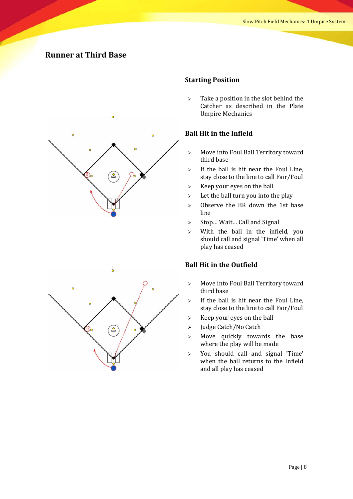### **Runner at Third Base**



# 음

### **Starting Position**

 $\triangleright$  Take a position in the slot behind the Catcher as described in the Plate Umpire Mechanics 

### **Ball Hit in the Infield**

- $\triangleright$  Move into Foul Ball Territory toward third base
- $\triangleright$  If the ball is hit near the Foul Line, stay close to the line to call Fair/Foul
- $\triangleright$  Keep your eyes on the ball
- $\geq$  Let the ball turn you into the play
- $\geq$  Observe the BR down the 1st base line
- $\triangleright$  Stop... Wait... Call and Signal
- $\triangleright$  With the ball in the infield, you should call and signal 'Time' when all play has ceased

- $\triangleright$  Move into Foul Ball Territory toward third base
- $\triangleright$  If the ball is hit near the Foul Line, stay close to the line to call Fair/Foul
- $\triangleright$  Keep your eyes on the ball
- > Judge Catch/No Catch
- $\triangleright$  Move quickly towards the base where the play will be made
- $\geq$  You should call and signal 'Time' when the ball returns to the Infield and all play has ceased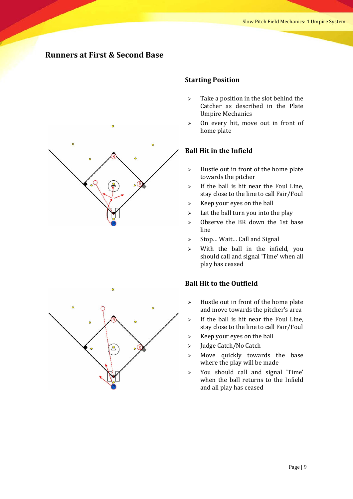### **Runners at First & Second Base**



### **Starting Position**

- $\triangleright$  Take a position in the slot behind the Catcher as described in the Plate Umpire Mechanics
- $\geq$  0n every hit, move out in front of home plate

### **Ball Hit in the Infield**

- $\triangleright$  Hustle out in front of the home plate towards the pitcher
- $\triangleright$  If the ball is hit near the Foul Line. stay close to the line to call Fair/Foul
- $\triangleright$  Keep your eyes on the ball
- $\triangleright$  Let the ball turn you into the play
- $\geq$  Observe the BR down the 1st base line
- $\triangleright$  Stop... Wait... Call and Signal
- $\triangleright$  With the ball in the infield, you should call and signal 'Time' when all play has ceased

- $\triangleright$  Hustle out in front of the home plate and move towards the pitcher's area
- $\triangleright$  If the ball is hit near the Foul Line. stay close to the line to call Fair/Foul
- $\triangleright$  Keep your eyes on the ball
- > Judge Catch/No Catch
- $\geq$  Move quickly towards the base where the play will be made
- $\geq$  You should call and signal 'Time' when the ball returns to the Infield and all play has ceased

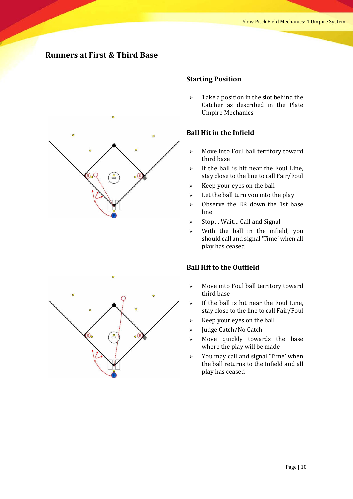### **Runners at First & Third Base**



### **Starting Position**

 $\triangleright$  Take a position in the slot behind the Catcher as described in the Plate Umpire Mechanics 

### **Ball Hit in the Infield**

- $\triangleright$  Move into Foul ball territory toward third base
- $\triangleright$  If the ball is hit near the Foul Line, stay close to the line to call Fair/Foul
- $\triangleright$  Keep your eyes on the ball
- $\geq$  Let the ball turn you into the play
- $\geq$  Observe the BR down the 1st base line
- $\triangleright$  Stop... Wait... Call and Signal
- $\triangleright$  With the ball in the infield, you should call and signal 'Time' when all play has ceased

- $\triangleright$  Move into Foul ball territory toward third base
- $\triangleright$  If the ball is hit near the Foul Line, stay close to the line to call Fair/Foul
- $\triangleright$  Keep your eyes on the ball
- > Judge Catch/No Catch
- $\geq$  Move quickly towards the base where the play will be made
- $\triangleright$  You may call and signal 'Time' when the ball returns to the Infield and all play has ceased

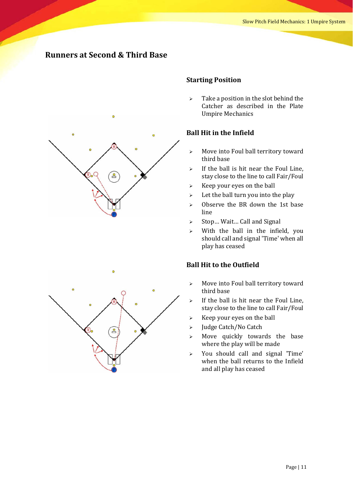### **Runners at Second & Third Base**



### **Starting Position**

 $\triangleright$  Take a position in the slot behind the Catcher as described in the Plate Umpire Mechanics 

### **Ball Hit in the Infield**

- $\triangleright$  Move into Foul ball territory toward third base
- $\triangleright$  If the ball is hit near the Foul Line, stay close to the line to call Fair/Foul
- $\triangleright$  Keep your eyes on the ball
- $\geq$  Let the ball turn you into the play
- $\geq$  Observe the BR down the 1st base line
- $\triangleright$  Stop... Wait... Call and Signal
- $\triangleright$  With the ball in the infield, you should call and signal 'Time' when all play has ceased

- $\triangleright$  Move into Foul ball territory toward third base
- $\triangleright$  If the ball is hit near the Foul Line, stay close to the line to call Fair/Foul
- $\triangleright$  Keep your eyes on the ball
- > Judge Catch/No Catch
- $\geq$  Move quickly towards the base where the play will be made
- $\geq$  You should call and signal 'Time' when the ball returns to the Infield and all play has ceased